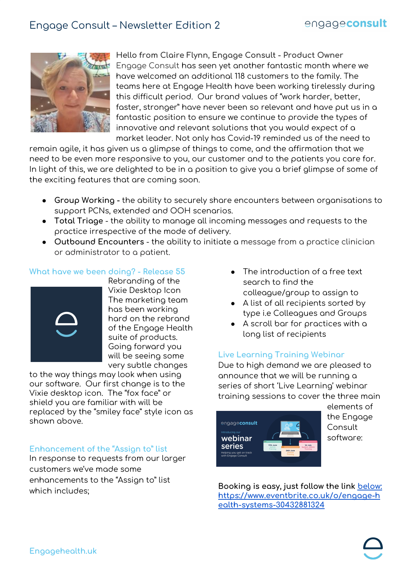

**Hello from Claire Flynn, Engage Consult - Product Owner** Engage Consult has seen yet another fantastic month where we have welcomed an additional 118 customers to the family. The teams here at Engage Health have been working tirelessly during this difficult period. Our brand values of "work harder, better, faster, stronger" have never been so relevant and have put us in a fantastic position to ensure we continue to provide the types of innovative and relevant solutions that you would expect of a market leader. Not only has Covid-19 reminded us of the need to

remain agile, it has given us a glimpse of things to come, and the affirmation that we need to be even more responsive to you, our customer and to the patients you care for. In light of this, we are delighted to be in a position to give you a brief glimpse of some of the exciting features that are coming soon.

- **Group Working -** the ability to securely share encounters between organisations to support PCNs, extended and OOH scenarios.
- **Total Triage** the ability to manage all incoming messages and requests to the practice irrespective of the mode of delivery.
- **Outbound Encounters** the ability to initiate a message from a practice clinician or administrator to a patient.

# **What have we been doing? - Release 55**



Rebranding of the Vixie Desktop Icon The marketing team has been working hard on the rebrand of the Engage Health suite of products. Going forward you will be seeing some very subtle changes

to the way things may look when using our software. Our first change is to the Vixie desktop icon. The "fox face" or shield you are familiar with will be replaced by the "smiley face" style icon as shown above.

### **Enhancement of the "Assign to" list**

In response to requests from our larger customers we've made some enhancements to the "Assign to" list which includes;

- The introduction of a free text search to find the colleague/group to assign to
- A list of all recipients sorted by type i.e Colleagues and Groups
- A scroll bar for practices with a long list of recipients

# **Live Learning Training Webinar**

Due to high demand we are pleased to announce that we will be running a series of short 'Live Learning' webinar training sessions to cover the three main



elements of the Engage **Consult** software:

**Booking is easy, just follow the link [below:](https://l.facebook.com/l.php?u=https%3A%2F%2Fengageconsultliveleanwebinars.eventbrite.co.uk%2F%3Ffbclid%3DIwAR3dTgrBEVJxCSAscZ2UEFgUAA1RULcQI3y6M-XMBKIKjwIqLDmpDoZLtyo&h=AT22UFduEbhJSgXbKLPAR81R-6CS-oZ1ElFWBBUilJCbcdjRFjnRCagpo7dyktjxjIwHBEI_cVbSQTLJBJBPH3PSQdqk2k2xohUSP4_H4sShEKqZk6PuvVPJL5NwnOc0BTkX_Go7nGrjpqFDAA&__tn__=-UK-R&c%5b0%5d=AT2O3Lceau_JKqzHfVa08VEjz7L_Im_MAt7Zj_wfQbKzjAPKmaVf5EExiehh4XZqzvpjK6Ihwb-GC9Vpz1k209uRspZey8Zz2RKj2XQDMULE_2IqNcXCza6Bfs957hf462UT7WEZ) [https://www.eventbrite.co.uk/o/engage-h](https://www.eventbrite.co.uk/o/engage-health-systems-30432881324) [ealth-systems-30432881324](https://www.eventbrite.co.uk/o/engage-health-systems-30432881324)**